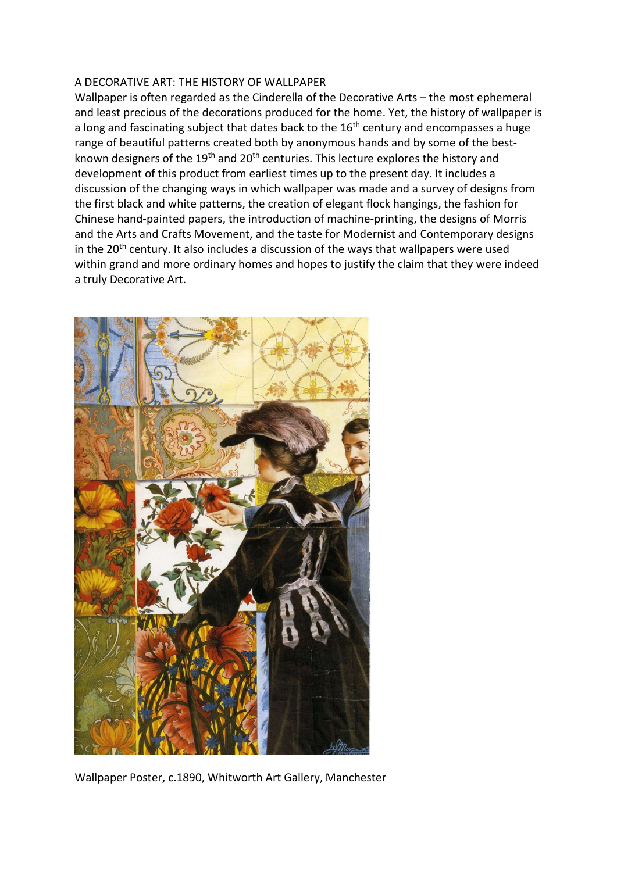## A DECORATIVE ART: THE HISTORY OF WALLPAPER

Wallpaper is often regarded as the Cinderella of the Decorative Arts – the most ephemeral and least precious of the decorations produced for the home. Yet, the history of wallpaper is a long and fascinating subject that dates back to the  $16<sup>th</sup>$  century and encompasses a huge range of beautiful patterns created both by anonymous hands and by some of the bestknown designers of the  $19<sup>th</sup>$  and  $20<sup>th</sup>$  centuries. This lecture explores the history and development of this product from earliest times up to the present day. It includes a discussion of the changing ways in which wallpaper was made and a survey of designs from the first black and white patterns, the creation of elegant flock hangings, the fashion for Chinese hand-painted papers, the introduction of machine-printing, the designs of Morris and the Arts and Crafts Movement, and the taste for Modernist and Contemporary designs in the 20<sup>th</sup> century. It also includes a discussion of the ways that wallpapers were used within grand and more ordinary homes and hopes to justify the claim that they were indeed a truly Decorative Art.



Wallpaper Poster, c.1890, Whitworth Art Gallery, Manchester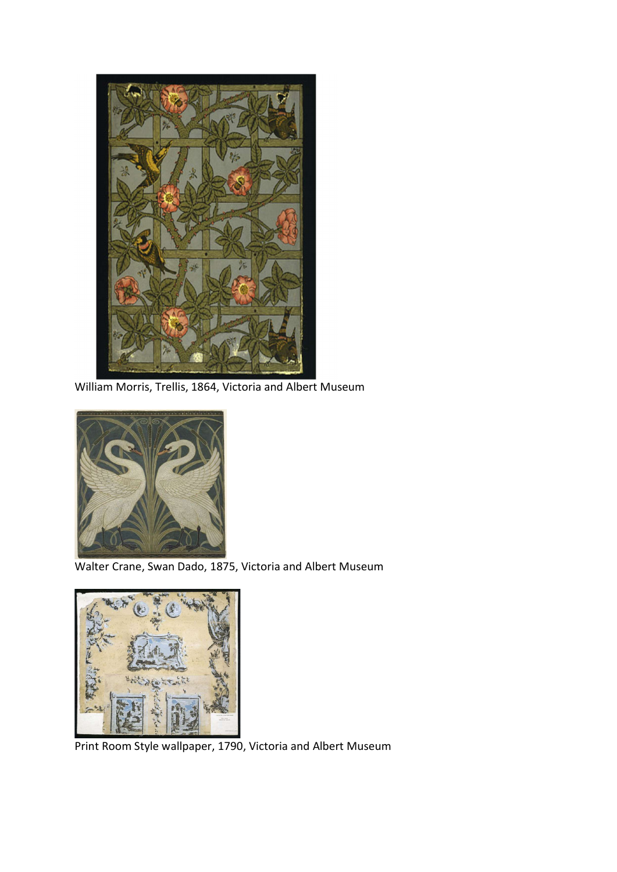

William Morris, Trellis, 1864, Victoria and Albert Museum



Walter Crane, Swan Dado, 1875, Victoria and Albert Museum



Print Room Style wallpaper, 1790, Victoria and Albert Museum